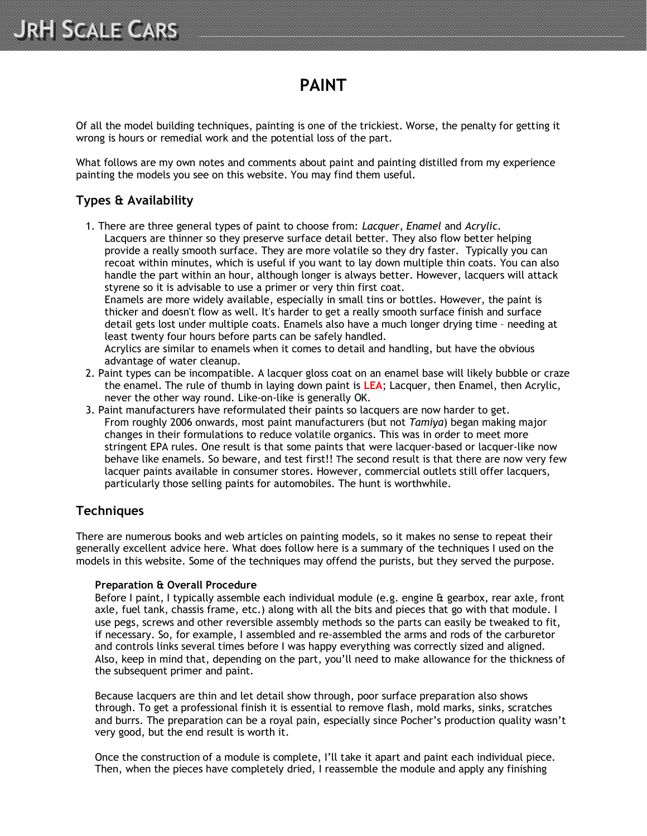# **PAINT**

Of all the model building techniques, painting is one of the trickiest. Worse, the penalty for getting it wrong is hours or remedial work and the potential loss of the part.

What follows are my own notes and comments about paint and painting distilled from my experience painting the models you see on this website. You may find them useful.

# **Types & Availability**

1. There are three general types of paint to choose from: *Lacquer*, *Enamel* and *Acrylic*. Lacquers are thinner so they preserve surface detail better. They also flow better helping provide a really smooth surface. They are more volatile so they dry faster. Typically you can recoat within minutes, which is useful if you want to lay down multiple thin coats. You can also handle the part within an hour, although longer is always better. However, lacquers will attack styrene so it is advisable to use a primer or very thin first coat.

Enamels are more widely available, especially in small tins or bottles. However, the paint is thicker and doesn't flow as well. It's harder to get a really smooth surface finish and surface detail gets lost under multiple coats. Enamels also have a much longer drying time – needing at least twenty four hours before parts can be safely handled.

Acrylics are similar to enamels when it comes to detail and handling, but have the obvious advantage of water cleanup.

- 2. Paint types can be incompatible. A lacquer gloss coat on an enamel base will likely bubble or craze the enamel. The rule of thumb in laying down paint is **LEA**; Lacquer, then Enamel, then Acrylic, never the other way round. Like-on-like is generally OK.
- 3. Paint manufacturers have reformulated their paints so lacquers are now harder to get. From roughly 2006 onwards, most paint manufacturers (but not *Tamiya*) began making major changes in their formulations to reduce volatile organics. This was in order to meet more stringent EPA rules. One result is that some paints that were lacquer-based or lacquer-like now behave like enamels. So beware, and test first!! The second result is that there are now very few lacquer paints available in consumer stores. However, commercial outlets still offer lacquers, particularly those selling paints for automobiles. The hunt is worthwhile.

# **Techniques**

There are numerous books and web articles on painting models, so it makes no sense to repeat their generally excellent advice here. What does follow here is a summary of the techniques I used on the models in this website. Some of the techniques may offend the purists, but they served the purpose.

# **Preparation & Overall Procedure**

Before I paint, I typically assemble each individual module (e.g. engine & gearbox, rear axle, front axle, fuel tank, chassis frame, etc.) along with all the bits and pieces that go with that module. I use pegs, screws and other reversible assembly methods so the parts can easily be tweaked to fit, if necessary. So, for example, I assembled and re-assembled the arms and rods of the carburetor and controls links several times before I was happy everything was correctly sized and aligned. Also, keep in mind that, depending on the part, you'll need to make allowance for the thickness of the subsequent primer and paint.

Because lacquers are thin and let detail show through, poor surface preparation also shows through. To get a professional finish it is essential to remove flash, mold marks, sinks, scratches and burrs. The preparation can be a royal pain, especially since Pocher's production quality wasn't very good, but the end result is worth it.

Once the construction of a module is complete, I'll take it apart and paint each individual piece. Then, when the pieces have completely dried, I reassemble the module and apply any finishing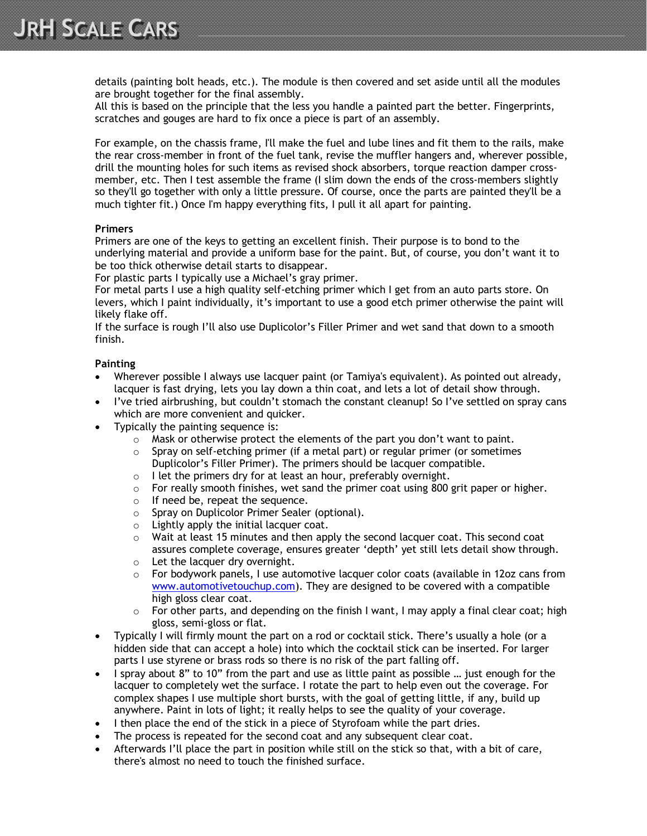details (painting bolt heads, etc.). The module is then covered and set aside until all the modules are brought together for the final assembly.

All this is based on the principle that the less you handle a painted part the better. Fingerprints, scratches and gouges are hard to fix once a piece is part of an assembly.

For example, on the chassis frame, I'll make the fuel and lube lines and fit them to the rails, make the rear cross-member in front of the fuel tank, revise the muffler hangers and, wherever possible, drill the mounting holes for such items as revised shock absorbers, torque reaction damper crossmember, etc. Then I test assemble the frame (I slim down the ends of the cross-members slightly so they'll go together with only a little pressure. Of course, once the parts are painted they'll be a much tighter fit.) Once I'm happy everything fits, I pull it all apart for painting.

#### **Primers**

Primers are one of the keys to getting an excellent finish. Their purpose is to bond to the underlying material and provide a uniform base for the paint. But, of course, you don't want it to be too thick otherwise detail starts to disappear.

For plastic parts I typically use a Michael's gray primer.

For metal parts I use a high quality self-etching primer which I get from an auto parts store. On levers, which I paint individually, it's important to use a good etch primer otherwise the paint will likely flake off.

If the surface is rough I'll also use Duplicolor's Filler Primer and wet sand that down to a smooth finish.

# **Painting**

- Wherever possible I always use lacquer paint (or Tamiya's equivalent). As pointed out already, lacquer is fast drying, lets you lay down a thin coat, and lets a lot of detail show through.
- I've tried airbrushing, but couldn't stomach the constant cleanup! So I've settled on spray cans which are more convenient and quicker.
- Typically the painting sequence is:
	- $\circ$  Mask or otherwise protect the elements of the part you don't want to paint.
	- $\circ$  Spray on self-etching primer (if a metal part) or regular primer (or sometimes Duplicolor's Filler Primer). The primers should be lacquer compatible.
	- $\circ$  I let the primers dry for at least an hour, preferably overnight.
	- $\circ$  For really smooth finishes, wet sand the primer coat using 800 grit paper or higher.
	- o If need be, repeat the sequence.
	- o Spray on Duplicolor Primer Sealer (optional).
	- o Lightly apply the initial lacquer coat.
	- $\circ$  Wait at least 15 minutes and then apply the second lacquer coat. This second coat assures complete coverage, ensures greater 'depth' yet still lets detail show through.
	- o Let the lacquer dry overnight.
	- $\circ$  For bodywork panels, I use automotive lacquer color coats (available in 12oz cans from www.automotivetouchup.com). They are designed to be covered with a compatible high gloss clear coat.
	- $\circ$  For other parts, and depending on the finish I want, I may apply a final clear coat; high gloss, semi-gloss or flat.
- Typically I will firmly mount the part on a rod or cocktail stick. There's usually a hole (or a hidden side that can accept a hole) into which the cocktail stick can be inserted. For larger parts I use styrene or brass rods so there is no risk of the part falling off.
- I spray about 8" to 10" from the part and use as little paint as possible ... just enough for the lacquer to completely wet the surface. I rotate the part to help even out the coverage. For complex shapes I use multiple short bursts, with the goal of getting little, if any, build up anywhere. Paint in lots of light; it really helps to see the quality of your coverage.
- I then place the end of the stick in a piece of Styrofoam while the part dries.
- The process is repeated for the second coat and any subsequent clear coat.
- Afterwards I'll place the part in position while still on the stick so that, with a bit of care, there's almost no need to touch the finished surface.